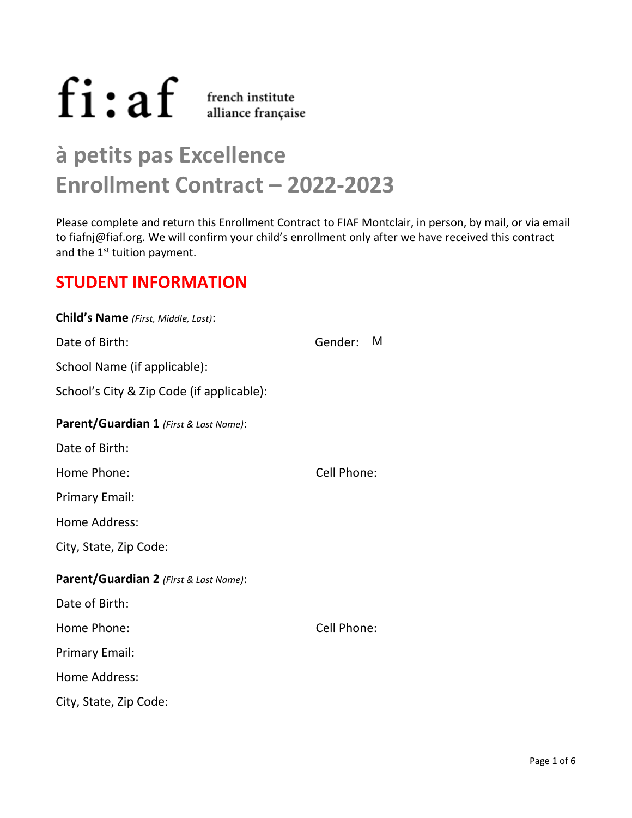$fi$ :  $af$   $\frac{1}{1}$   $\frac{1}{1}$   $\frac{1}{1}$   $\frac{1}{2}$   $\frac{1}{2}$   $\frac{1}{2}$   $\frac{1}{2}$   $\frac{1}{2}$   $\frac{1}{2}$   $\frac{1}{2}$   $\frac{1}{2}$   $\frac{1}{2}$   $\frac{1}{2}$   $\frac{1}{2}$   $\frac{1}{2}$   $\frac{1}{2}$   $\frac{1}{2}$   $\frac{1}{2}$   $\frac{1}{2}$   $\frac{1}{2}$   $\frac{1}{2}$   $\$ 

# **à petits pas Excellence Enrollment Contract – 2022-2023**

Please complete and return this Enrollment Contract to FIAF Montclair, in person, by mail, or via email t[o fiafnj@fiaf.org](mailto:fiafnj@fiaf.org). We will confirm your child's enrollment only after we have received this contract and the 1<sup>st</sup> tuition payment.

# **STUDENT INFORMATION**

| Child's Name (First, Middle, Last):       |              |
|-------------------------------------------|--------------|
| Date of Birth:                            | M<br>Gender: |
| School Name (if applicable):              |              |
| School's City & Zip Code (if applicable): |              |
| Parent/Guardian 1 (First & Last Name):    |              |
| Date of Birth:                            |              |
| Home Phone:                               | Cell Phone:  |
| <b>Primary Email:</b>                     |              |
| Home Address:                             |              |
| City, State, Zip Code:                    |              |
| Parent/Guardian 2 (First & Last Name):    |              |
| Date of Birth:                            |              |
| Home Phone:                               | Cell Phone:  |
| <b>Primary Email:</b>                     |              |
| Home Address:                             |              |
| City, State, Zip Code:                    |              |
|                                           |              |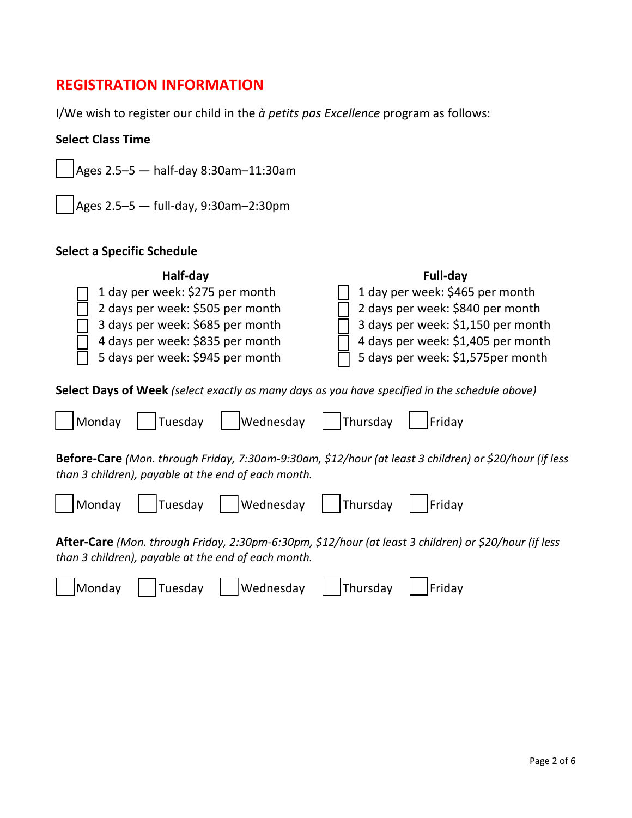# **REGISTRATION INFORMATION**

I/We wish to register our child in the *à petits pas Excellence* program as follows:

### **Select Class Time**

 $\vert$ Ages 2.5–5  $-$  half-day 8:30am–11:30am

 $\vert$ Ages 2.5–5  $-$  full-day, 9:30am–2:30pm

## **Select a Specific Schedule**

| Half-day<br>1 day per week: \$275 per month<br>2 days per week: \$505 per month<br>3 days per week: \$685 per month<br>4 days per week: \$835 per month<br>5 days per week: \$945 per month | Full-day<br>1 day per week: \$465 per month<br>2 days per week: \$840 per month<br>3 days per week: \$1,150 per month<br>4 days per week: \$1,405 per month<br>5 days per week: \$1,575per month |  |  |  |  |
|---------------------------------------------------------------------------------------------------------------------------------------------------------------------------------------------|--------------------------------------------------------------------------------------------------------------------------------------------------------------------------------------------------|--|--|--|--|
| <b>Select Days of Week</b> (select exactly as many days as you have specified in the schedule above)                                                                                        |                                                                                                                                                                                                  |  |  |  |  |
| Wednesday<br>Tuesday<br>Monday                                                                                                                                                              | Thursday<br>Friday                                                                                                                                                                               |  |  |  |  |
| Before-Care (Mon. through Friday, 7:30am-9:30am, \$12/hour (at least 3 children) or \$20/hour (if less<br>than 3 children), payable at the end of each month.                               |                                                                                                                                                                                                  |  |  |  |  |
| Wednesdav<br>Monday<br>Tuesdav                                                                                                                                                              | Thursday<br>Friday                                                                                                                                                                               |  |  |  |  |

**After-Care** *(Mon. through Friday, 2:30pm-6:30pm, \$12/hour (at least 3 children) or \$20/hour (if less than 3 children), payable at the end of each month.* 

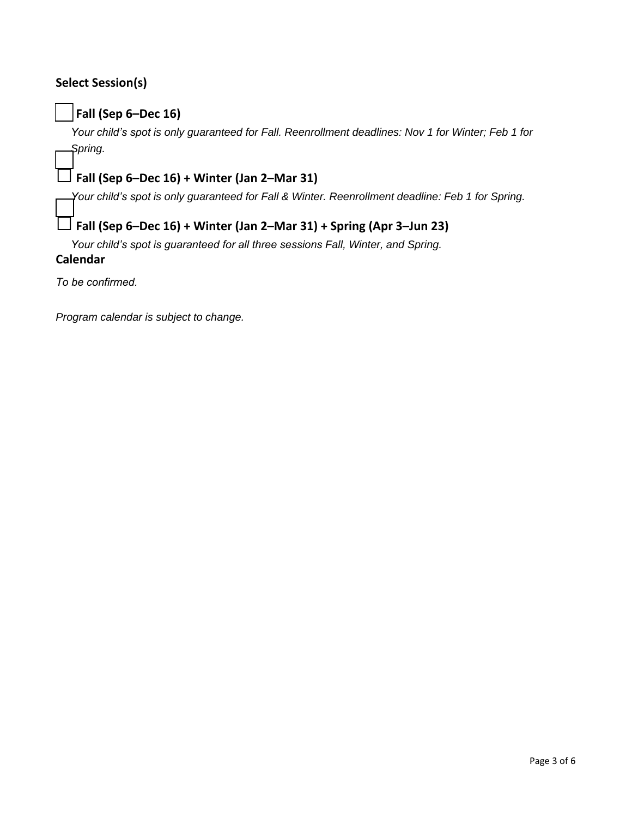## **Select Session(s)**

## □**Fall (Sep 6–Dec 16)**

*Your child's spot is only guaranteed for Fall. Reenrollment deadlines: Nov 1 for Winter; Feb 1 for Spring.*

# □**Fall (Sep 6–Dec 16) + Winter (Jan 2–Mar <sup>31</sup>)**

*Your child's spot is only guaranteed for Fall & Winter. Reenrollment deadline: Feb 1 for Spring.*

## □**Fall (Sep 6–Dec 16) + Winter (Jan 2–Mar 31) + Spring (Apr 3–Jun 23)**

*Your child's spot is guaranteed for all three sessions Fall, Winter, and Spring.*

#### **Calendar**

*To be confirmed.*

*Program calendar is subject to change.*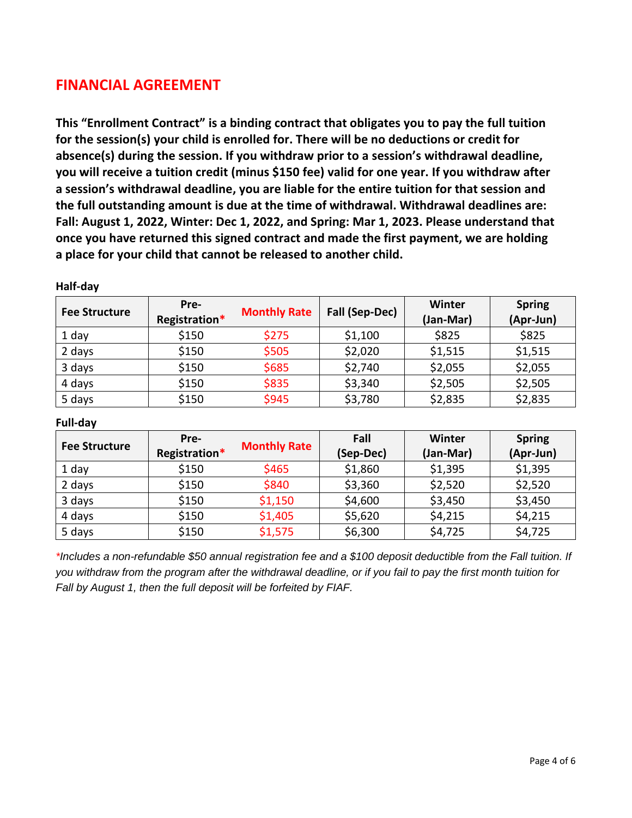# **FINANCIAL AGREEMENT**

**This "Enrollment Contract" is a binding contract that obligates you to pay the full tuition for the session(s) your child is enrolled for. There will be no deductions or credit for absence(s) during the session. If you withdraw prior to a session's withdrawal deadline, you will receive a tuition credit (minus \$150 fee) valid for one year. If you withdraw after a session's withdrawal deadline, you are liable for the entire tuition for that session and the full outstanding amount is due at the time of withdrawal. Withdrawal deadlines are: Fall: August 1, 2022, Winter: Dec 1, 2022, and Spring: Mar 1, 2023. Please understand that once you have returned this signed contract and made the first payment, we are holding a place for your child that cannot be released to another child.** 

| <b>Fee Structure</b> | Pre-<br>Registration* | <b>Monthly Rate</b> | Fall (Sep-Dec) | Winter<br>(Jan-Mar) | <b>Spring</b><br>(Apr-Jun) |
|----------------------|-----------------------|---------------------|----------------|---------------------|----------------------------|
| 1 day                | \$150                 | \$275               | \$1,100        | \$825               | \$825                      |
| 2 days               | \$150                 | \$505               | \$2,020        | \$1,515             | \$1,515                    |
| 3 days               | \$150                 | \$685               | \$2,740        | \$2,055             | \$2,055                    |
| 4 days               | \$150                 | \$835               | \$3,340        | \$2,505             | \$2,505                    |
| 5 days               | \$150                 | \$945               | \$3,780        | \$2,835             | \$2,835                    |

**Half-day** 

#### **Full-day**

| <b>Fee Structure</b> | Pre-<br>Registration* | <b>Monthly Rate</b> | Fall<br>(Sep-Dec) | Winter<br>(Jan-Mar) | <b>Spring</b><br>(Apr-Jun) |
|----------------------|-----------------------|---------------------|-------------------|---------------------|----------------------------|
| 1 day                | \$150                 | \$465               | \$1,860           | \$1,395             | \$1,395                    |
| 2 days               | \$150                 | \$840               | \$3,360           | \$2,520             | \$2,520                    |
| 3 days               | \$150                 | \$1,150             | \$4,600           | \$3,450             | \$3,450                    |
| 4 days               | \$150                 | \$1,405             | \$5,620           | \$4,215             | \$4,215                    |
| 5 days               | \$150                 | \$1,575             | \$6,300           | \$4,725             | \$4,725                    |

*\*Includes a non-refundable \$50 annual registration fee and a \$100 deposit deductible from the Fall tuition. If you withdraw from the program after the withdrawal deadline, or if you fail to pay the first month tuition for Fall by August 1, then the full deposit will be forfeited by FIAF.*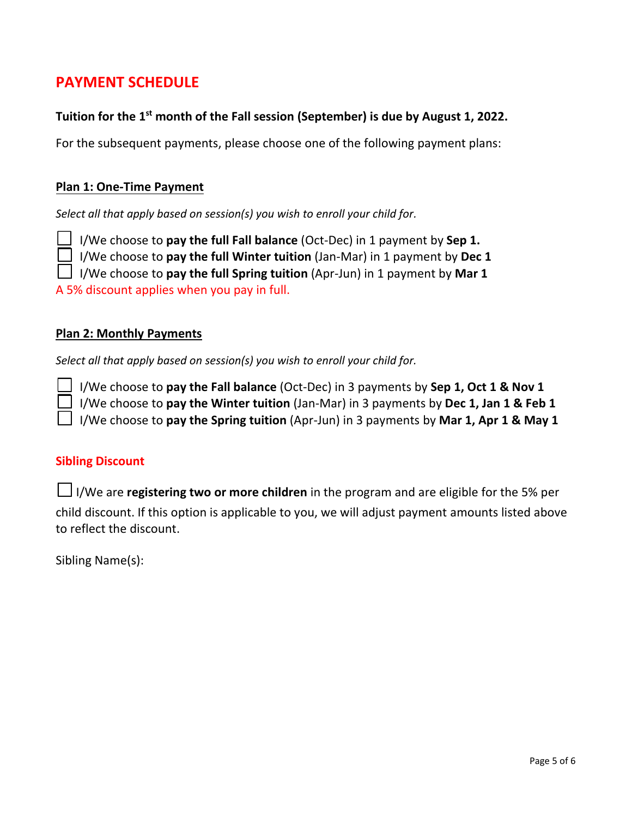# **PAYMENT SCHEDULE**

## **Tuition for the 1st month of the Fall session (September) is due by August 1, 2022.**

For the subsequent payments, please choose one of the following payment plans:

### **Plan 1: One-Time Payment**

*Select all that apply based on session(s) you wish to enroll your child for.* 

□ I/We choose to **pay the full Fall balance** (Oct-Dec) in 1 payment by **Sep 1.**

□ I/We choose to **pay the full Winter tuition** (Jan-Mar) in 1 payment by **Dec <sup>1</sup>**

□ I/We choose to **pay the full Spring tuition** (Apr-Jun) in 1 payment by **Mar 1**

A 5% discount applies when you pay in full.

#### **Plan 2: Monthly Payments**

*Select all that apply based on session(s) you wish to enroll your child for.*

□ I/We choose to **pay the Fall balance** (Oct-Dec) in 3 payments by **Sep 1, Oct <sup>1</sup> & Nov <sup>1</sup>** □ I/We choose to **pay the Winter tuition** (Jan-Mar) in 3 payments by **Dec 1, Jan <sup>1</sup> & Feb <sup>1</sup>** □ I/We choose to **pay the Spring tuition** (Apr-Jun) in 3 payments by **Mar 1, Apr <sup>1</sup> & May <sup>1</sup>**

#### **Sibling Discount**

□I/We are **registering two or more children** in the program and are eligible for the 5% per child discount. If this option is applicable to you, we will adjust payment amounts listed above to reflect the discount.

Sibling Name(s):